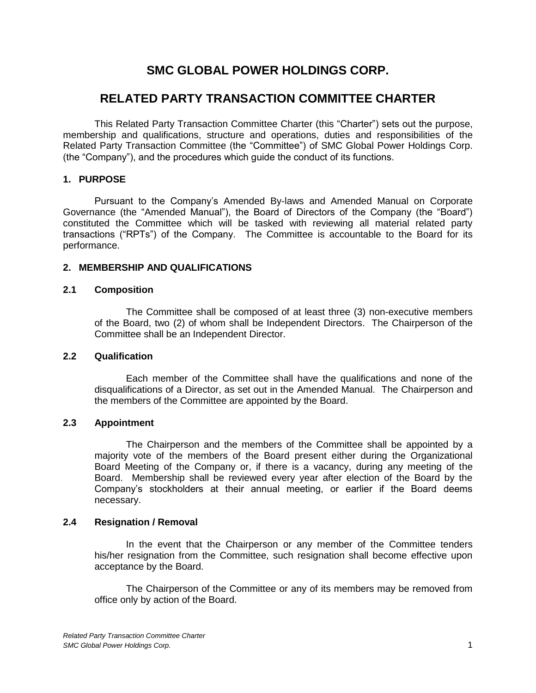# **SMC GLOBAL POWER HOLDINGS CORP.**

# **RELATED PARTY TRANSACTION COMMITTEE CHARTER**

This Related Party Transaction Committee Charter (this "Charter") sets out the purpose, membership and qualifications, structure and operations, duties and responsibilities of the Related Party Transaction Committee (the "Committee") of SMC Global Power Holdings Corp. (the "Company"), and the procedures which guide the conduct of its functions.

## **1. PURPOSE**

Pursuant to the Company's Amended By-laws and Amended Manual on Corporate Governance (the "Amended Manual"), the Board of Directors of the Company (the "Board") constituted the Committee which will be tasked with reviewing all material related party transactions ("RPTs") of the Company. The Committee is accountable to the Board for its performance.

## **2. MEMBERSHIP AND QUALIFICATIONS**

#### **2.1 Composition**

The Committee shall be composed of at least three (3) non-executive members of the Board, two (2) of whom shall be Independent Directors. The Chairperson of the Committee shall be an Independent Director.

#### **2.2 Qualification**

Each member of the Committee shall have the qualifications and none of the disqualifications of a Director, as set out in the Amended Manual. The Chairperson and the members of the Committee are appointed by the Board.

## **2.3 Appointment**

The Chairperson and the members of the Committee shall be appointed by a majority vote of the members of the Board present either during the Organizational Board Meeting of the Company or, if there is a vacancy, during any meeting of the Board. Membership shall be reviewed every year after election of the Board by the Company's stockholders at their annual meeting, or earlier if the Board deems necessary.

#### **2.4 Resignation / Removal**

In the event that the Chairperson or any member of the Committee tenders his/her resignation from the Committee, such resignation shall become effective upon acceptance by the Board.

The Chairperson of the Committee or any of its members may be removed from office only by action of the Board.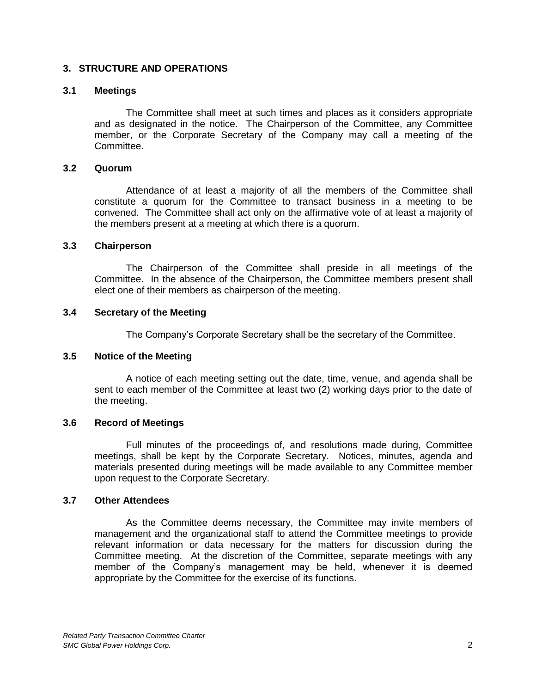## **3. STRUCTURE AND OPERATIONS**

#### **3.1 Meetings**

The Committee shall meet at such times and places as it considers appropriate and as designated in the notice. The Chairperson of the Committee, any Committee member, or the Corporate Secretary of the Company may call a meeting of the Committee.

#### **3.2 Quorum**

Attendance of at least a majority of all the members of the Committee shall constitute a quorum for the Committee to transact business in a meeting to be convened. The Committee shall act only on the affirmative vote of at least a majority of the members present at a meeting at which there is a quorum.

#### **3.3 Chairperson**

The Chairperson of the Committee shall preside in all meetings of the Committee. In the absence of the Chairperson, the Committee members present shall elect one of their members as chairperson of the meeting.

#### **3.4 Secretary of the Meeting**

The Company's Corporate Secretary shall be the secretary of the Committee.

## **3.5 Notice of the Meeting**

A notice of each meeting setting out the date, time, venue, and agenda shall be sent to each member of the Committee at least two (2) working days prior to the date of the meeting.

## **3.6 Record of Meetings**

Full minutes of the proceedings of, and resolutions made during, Committee meetings, shall be kept by the Corporate Secretary. Notices, minutes, agenda and materials presented during meetings will be made available to any Committee member upon request to the Corporate Secretary.

#### **3.7 Other Attendees**

As the Committee deems necessary, the Committee may invite members of management and the organizational staff to attend the Committee meetings to provide relevant information or data necessary for the matters for discussion during the Committee meeting. At the discretion of the Committee, separate meetings with any member of the Company's management may be held, whenever it is deemed appropriate by the Committee for the exercise of its functions.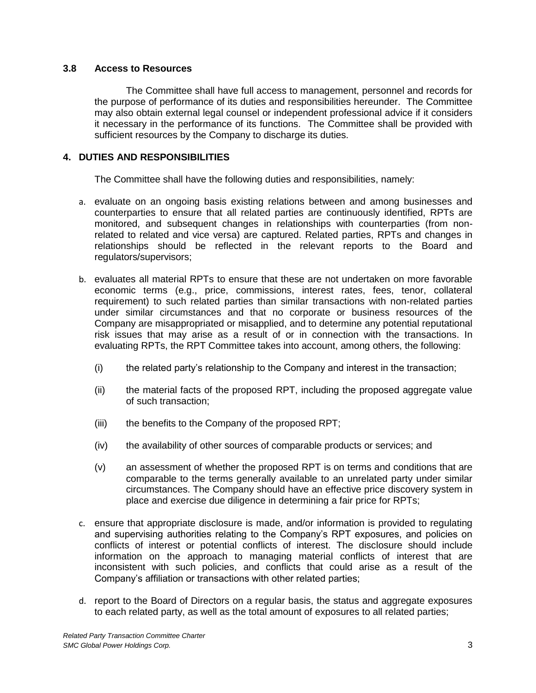#### **3.8 Access to Resources**

The Committee shall have full access to management, personnel and records for the purpose of performance of its duties and responsibilities hereunder. The Committee may also obtain external legal counsel or independent professional advice if it considers it necessary in the performance of its functions. The Committee shall be provided with sufficient resources by the Company to discharge its duties.

## **4. DUTIES AND RESPONSIBILITIES**

The Committee shall have the following duties and responsibilities, namely:

- a. evaluate on an ongoing basis existing relations between and among businesses and counterparties to ensure that all related parties are continuously identified, RPTs are monitored, and subsequent changes in relationships with counterparties (from nonrelated to related and vice versa) are captured. Related parties, RPTs and changes in relationships should be reflected in the relevant reports to the Board and regulators/supervisors;
- b. evaluates all material RPTs to ensure that these are not undertaken on more favorable economic terms (e.g., price, commissions, interest rates, fees, tenor, collateral requirement) to such related parties than similar transactions with non-related parties under similar circumstances and that no corporate or business resources of the Company are misappropriated or misapplied, and to determine any potential reputational risk issues that may arise as a result of or in connection with the transactions. In evaluating RPTs, the RPT Committee takes into account, among others, the following:
	- (i) the related party's relationship to the Company and interest in the transaction;
	- (ii) the material facts of the proposed RPT, including the proposed aggregate value of such transaction;
	- (iii) the benefits to the Company of the proposed RPT;
	- (iv) the availability of other sources of comparable products or services; and
	- (v) an assessment of whether the proposed RPT is on terms and conditions that are comparable to the terms generally available to an unrelated party under similar circumstances. The Company should have an effective price discovery system in place and exercise due diligence in determining a fair price for RPTs;
- c. ensure that appropriate disclosure is made, and/or information is provided to regulating and supervising authorities relating to the Company's RPT exposures, and policies on conflicts of interest or potential conflicts of interest. The disclosure should include information on the approach to managing material conflicts of interest that are inconsistent with such policies, and conflicts that could arise as a result of the Company's affiliation or transactions with other related parties;
- d. report to the Board of Directors on a regular basis, the status and aggregate exposures to each related party, as well as the total amount of exposures to all related parties;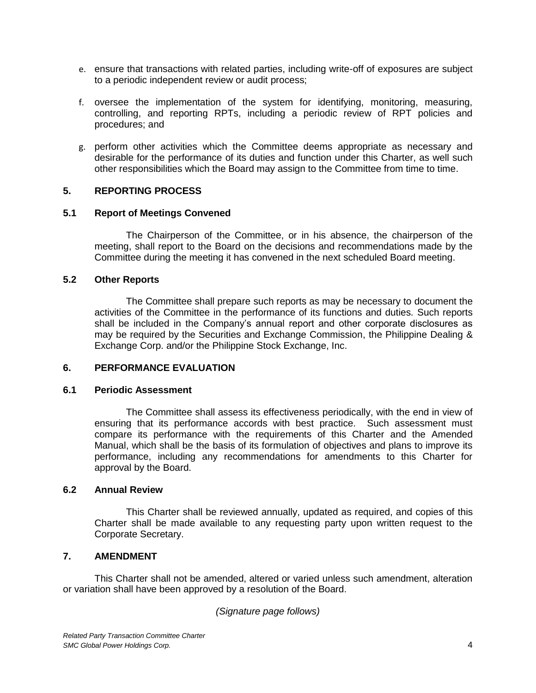- e. ensure that transactions with related parties, including write-off of exposures are subject to a periodic independent review or audit process;
- f. oversee the implementation of the system for identifying, monitoring, measuring, controlling, and reporting RPTs, including a periodic review of RPT policies and procedures; and
- g. perform other activities which the Committee deems appropriate as necessary and desirable for the performance of its duties and function under this Charter, as well such other responsibilities which the Board may assign to the Committee from time to time.

## **5. REPORTING PROCESS**

## **5.1 Report of Meetings Convened**

The Chairperson of the Committee, or in his absence, the chairperson of the meeting, shall report to the Board on the decisions and recommendations made by the Committee during the meeting it has convened in the next scheduled Board meeting.

## **5.2 Other Reports**

The Committee shall prepare such reports as may be necessary to document the activities of the Committee in the performance of its functions and duties. Such reports shall be included in the Company's annual report and other corporate disclosures as may be required by the Securities and Exchange Commission, the Philippine Dealing & Exchange Corp. and/or the Philippine Stock Exchange, Inc.

## **6. PERFORMANCE EVALUATION**

#### **6.1 Periodic Assessment**

The Committee shall assess its effectiveness periodically, with the end in view of ensuring that its performance accords with best practice. Such assessment must compare its performance with the requirements of this Charter and the Amended Manual, which shall be the basis of its formulation of objectives and plans to improve its performance, including any recommendations for amendments to this Charter for approval by the Board.

## **6.2 Annual Review**

This Charter shall be reviewed annually, updated as required, and copies of this Charter shall be made available to any requesting party upon written request to the Corporate Secretary.

## **7. AMENDMENT**

This Charter shall not be amended, altered or varied unless such amendment, alteration or variation shall have been approved by a resolution of the Board.

## *(Signature page follows)*